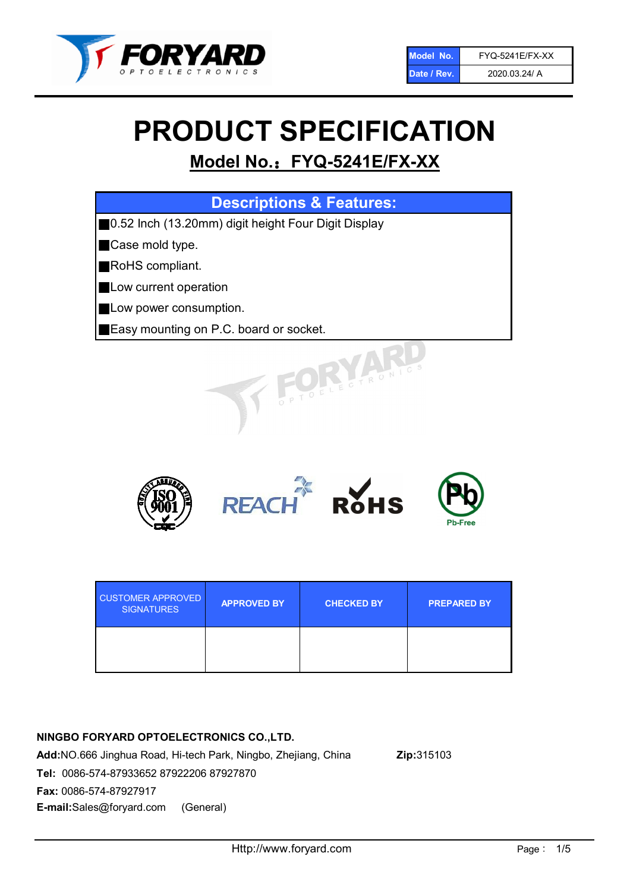

# PRODUCT SPECIFICATION

# Model No.: FYQ-5241E/FX-XX

| <b>Descriptions &amp; Features:</b>                 |
|-----------------------------------------------------|
| 0.52 Inch (13.20mm) digit height Four Digit Display |
| Case mold type.                                     |
| RoHS compliant.                                     |
| Low current operation                               |
| Low power consumption.                              |
| <b>Easy mounting on P.C. board or socket.</b>       |
| TOELECTRONIC.                                       |



| <b>CUSTOMER APPROVED</b><br><b>SIGNATURES</b> | <b>APPROVED BY</b> | <b>CHECKED BY</b> | <b>PREPARED BY</b> |
|-----------------------------------------------|--------------------|-------------------|--------------------|
|                                               |                    |                   |                    |

# NINGBO FORYARD OPTOELECTRONICS CO.,LTD.

Add:NO.666 Jinghua Road, Hi-tech Park, Ningbo, Zhejiang, China Zip:315103 Tel: 0086-574-87933652 87922206 87927870 Fax: 0086-574-87927917 E-mail:Sales@foryard.com (General)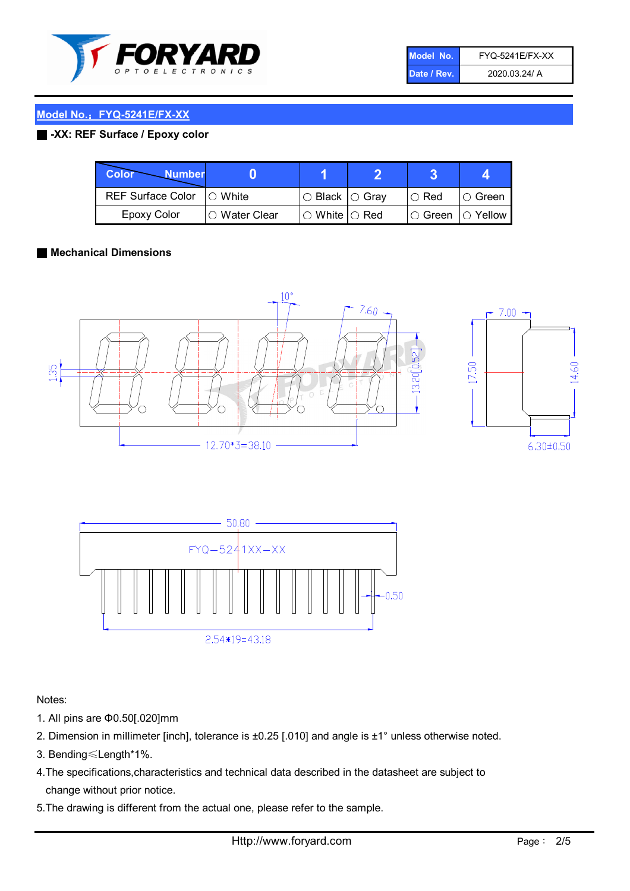

| Model No.   | <b>FYQ-5241E/FX-XX</b> |
|-------------|------------------------|
| Date / Rev. | 2020.03.24/ A          |

## Model No.: FYQ-5241E/FX-XX

## ■ -XX: REF Surface / Epoxy color

| <b>Color</b><br><b>Number</b> |                |                                                   |                   |               |
|-------------------------------|----------------|---------------------------------------------------|-------------------|---------------|
| REF Surface Color   O White   |                | $\circ$ Black $\circ$ Gray                        | $\circ$ Red       | $\circ$ Green |
| Epoxy Color                   | I∩ Water Clear | $\mathbin{\varcap}$ White $\mathbin{\varcap}$ Red | ○ Green  ○ Yellow |               |

#### ■ Mechanical Dimensions





Notes:

- 1. All pins are Φ0.50[.020]mm
- 2. Dimension in millimeter [inch], tolerance is ±0.25 [.010] and angle is ±1° unless otherwise noted.
- 3. Bending≤Length\*1%.
- 4.The specifications,characteristics and technical data described in the datasheet are subject to change without prior notice.
- 5.The drawing is different from the actual one, please refer to the sample.

14.60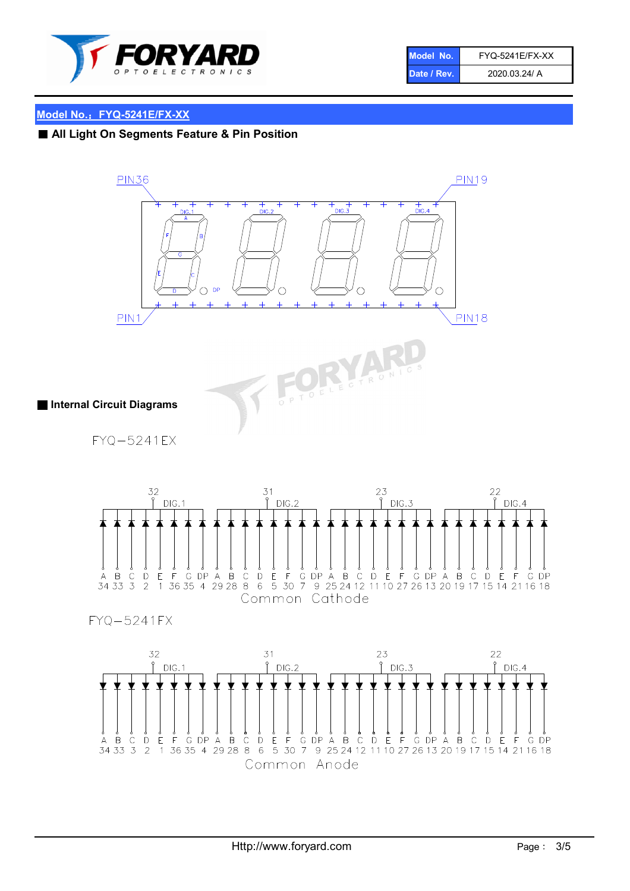

| Model No.   | <b>FYQ-5241E/FX-XX</b> |
|-------------|------------------------|
| Date / Rev. | 2020.03.24/ A          |

#### Model No.: FYQ-5241E/FX-XX

# ■ All Light On Segments Feature & Pin Position







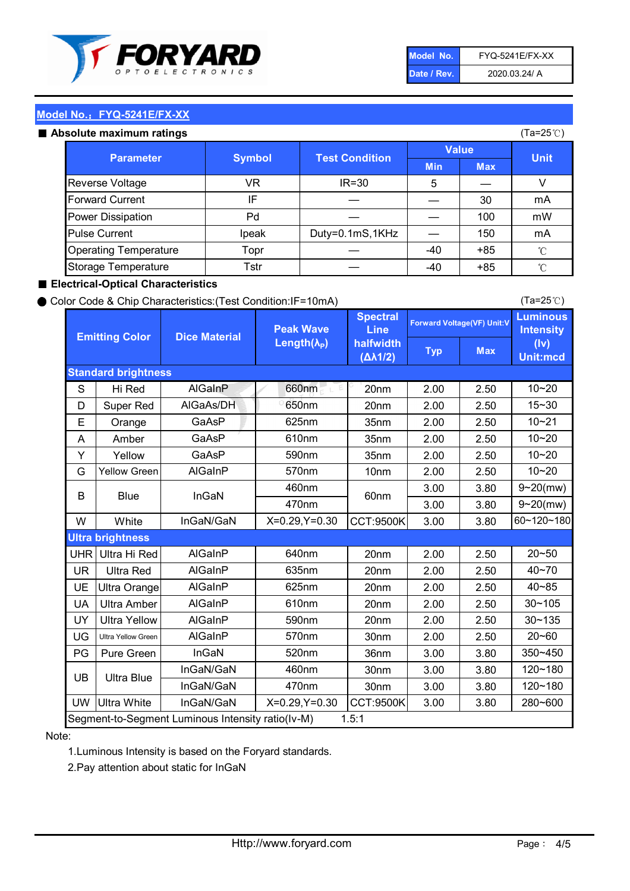

| Model No.   | <b>FYQ-5241E/FX-XX</b> |
|-------------|------------------------|
| Date / Rev. | 2020.03.24/ A          |

(Ta=25℃)

#### Model No.: FYQ-5241E/FX-XX

#### Absolute maximum ratings

| solute maximum ratings       |               |                       |              |            | (Ta=25℃)    |
|------------------------------|---------------|-----------------------|--------------|------------|-------------|
| <b>Parameter</b>             | <b>Symbol</b> | <b>Test Condition</b> | <b>Value</b> |            |             |
|                              |               |                       | <b>Min</b>   | <b>Max</b> | <b>Unit</b> |
| Reverse Voltage              | VR            | $IR = 30$             | 5            |            |             |
| <b>Forward Current</b>       | ΙF            |                       |              | 30         | mA          |
| Power Dissipation            | Pd            |                       |              | 100        | mW          |
| <b>Pulse Current</b>         | Ipeak         | Duty=0.1mS,1KHz       |              | 150        | mA          |
| <b>Operating Temperature</b> | Topr          |                       | $-40$        | $+85$      | °C          |
| Storage Temperature          | Tstr          |                       | $-40$        | $+85$      | °C          |

#### ■ Electrical-Optical Characteristics

#### ● Color Code & Chip Characteristics:(Test Condition:IF=10mA)

Typ Max S | Hi $\textsf{Red}$  | AlGaInP | 660nm LE 20nm | 2.00 | 2.50 D | Super Red | AIGaAs/DH | 650nm | 20nm | 2.00 | 2.50 E | Orange | GaAsP | 625nm | 35nm | 2.00 | 2.50 A | Amber | GaAsP | 610nm | 35nm | 2.00 | 2.50 Y | Yellow | GaAsP | 590nm | 35nm | 2.00 | 2.50 G Yellow Green AIGaInP | 570nm | 10nm | 2.00 | 2.50 3.00 3.80 3.00 3.80 W | White | InGaN/GaN | X=0.29,Y=0.30 |CCT:9500K| 3.00 | 3.80 UHR Ultra Hi Red | AlGaInP | 640nm | 20nm | 2.00 | 2.50 UR | Ultra Red | AlGaInP | 635nm | 20nm | 2.00 | 2.50 UE Ultra Orange | AIGaInP | 625nm | 20nm | 2.00 | 2.50 UA Ultra Amber | AIGaInP | 610nm | 20nm | 2.00 | 2.50  $UV$  Ultra Yellow  $\vert$  AlGaInP  $\vert$  590nm  $\vert$  20nm  $\vert$  2.00  $\vert$  2.50  $\text{UG}$  Ultra Yellow Green | AIGaInP | 570nm | 30nm | 2.00 | 2.50 PG Pure Green | InGaN | 520nm | 36nm | 3.00 | 3.80 30nm 3.00 3.80 30nm 3.00 3.80 UW |Ultra White | InGaN/GaN | X=0.29,Y=0.30 |CCT:9500K| 3.00 | 3.80 10~20 Standard brightness Forward Voltage(VF) Unit:V 15~30 10~20 10~20 625nm GaAsP 590nm **Emitting Color Dice Material** 10~21 610nm Luminous **Intensity** (Iv) Unit:mcd AlGainP 660nm GaAsP GaAsP AlGaAs/DH **Spectral** Line halfwidth (∆λ1/2) Peak Wave Length $(\lambda_{\rm P})$ UB 460nm 635nm AlGaInP AlGaInP AlGaInP InGaN/GaN AlGaInP | 570nm | 10nm | 2.00 | 2.50 | 10~20 30~105 30~135 460nm 520nm Ultra brightness **AlGaInP** AlGaInP 60nm AlGaInP 640nm Segment-to-Segment Luminous Intensity ratio(Iv-M) 1.5:1 610nm 9~20(mw) 350~450 470nm 120~180 120~180 Ultra Blue InGaN/GaN InGaN/GaN 9~20(mw) 20~50 280~600 570nm | 30nm | 2.00 | 2.50 | 20~60 470nm 590nm InGaN/GaN B Blue I InGaN 40~85 60~120~180 40~70

#### Note:

1.Luminous Intensity is based on the Foryard standards.

2.Pay attention about static for InGaN